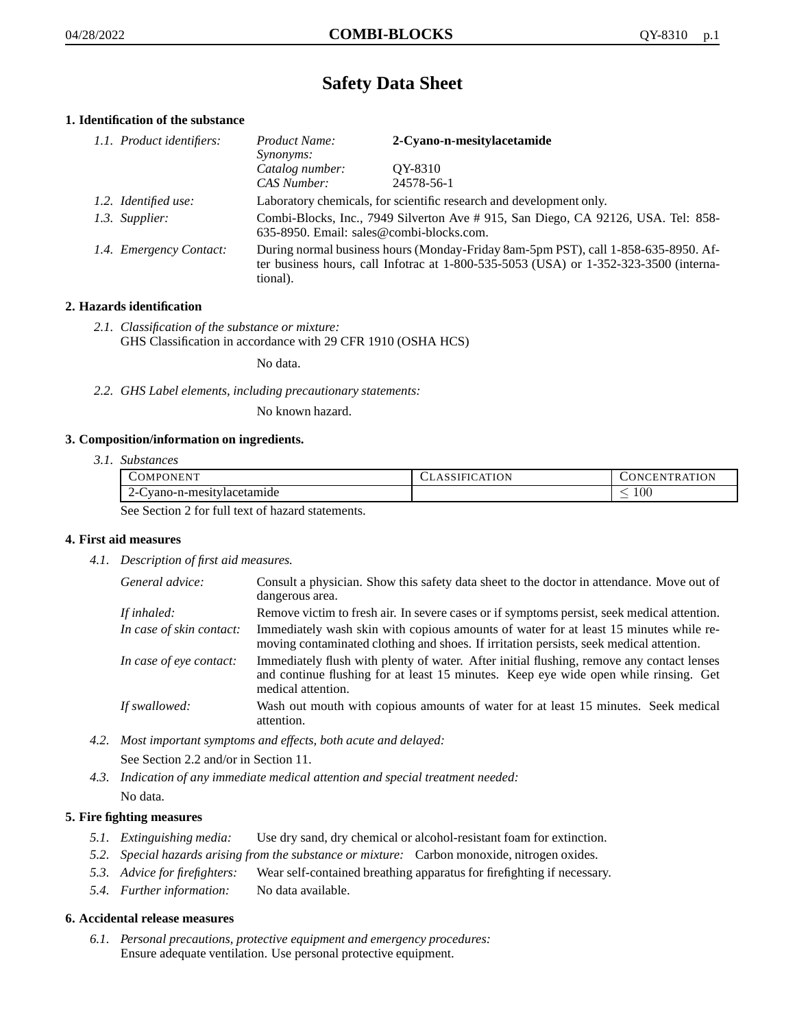# **Safety Data Sheet**

# **1. Identification of the substance**

| 1.1. Product identifiers: | Product Name:<br><i>Synonyms:</i>                                                                                                                                                           | 2-Cyano-n-mesitylacetamide                                          |
|---------------------------|---------------------------------------------------------------------------------------------------------------------------------------------------------------------------------------------|---------------------------------------------------------------------|
|                           | Catalog number:<br>CAS Number:                                                                                                                                                              | OY-8310<br>24578-56-1                                               |
| 1.2. Identified use:      |                                                                                                                                                                                             | Laboratory chemicals, for scientific research and development only. |
| 1.3. Supplier:            | Combi-Blocks, Inc., 7949 Silverton Ave # 915, San Diego, CA 92126, USA. Tel: 858-<br>635-8950. Email: sales@combi-blocks.com.                                                               |                                                                     |
| 1.4. Emergency Contact:   | During normal business hours (Monday-Friday 8am-5pm PST), call 1-858-635-8950. Af-<br>ter business hours, call Infotrac at $1-800-535-5053$ (USA) or $1-352-323-3500$ (interna-<br>tional). |                                                                     |

# **2. Hazards identification**

*2.1. Classification of the substance or mixture:* GHS Classification in accordance with 29 CFR 1910 (OSHA HCS)

No data.

*2.2. GHS Label elements, including precautionary statements:*

No known hazard.

## **3. Composition/information on ingredients.**

*3.1. Substances*

| COMPONENT               | CLASSIFICATION | <b>CONCENTRATION</b> |
|-------------------------|----------------|----------------------|
| vano-n-mesitylacetamide |                | 100                  |
|                         |                |                      |

See Section 2 for full text of hazard statements.

## **4. First aid measures**

*4.1. Description of first aid measures.*

| General advice:          | Consult a physician. Show this safety data sheet to the doctor in attendance. Move out of<br>dangerous area.                                                                                            |
|--------------------------|---------------------------------------------------------------------------------------------------------------------------------------------------------------------------------------------------------|
| If inhaled:              | Remove victim to fresh air. In severe cases or if symptoms persist, seek medical attention.                                                                                                             |
| In case of skin contact: | Immediately wash skin with copious amounts of water for at least 15 minutes while re-<br>moving contaminated clothing and shoes. If irritation persists, seek medical attention.                        |
| In case of eye contact:  | Immediately flush with plenty of water. After initial flushing, remove any contact lenses<br>and continue flushing for at least 15 minutes. Keep eye wide open while rinsing. Get<br>medical attention. |
| If swallowed:            | Wash out mouth with copious amounts of water for at least 15 minutes. Seek medical<br>attention.                                                                                                        |

*4.2. Most important symptoms and effects, both acute and delayed:*

See Section 2.2 and/or in Section 11.

*4.3. Indication of any immediate medical attention and special treatment needed:* No data.

## **5. Fire fighting measures**

- *5.1. Extinguishing media:* Use dry sand, dry chemical or alcohol-resistant foam for extinction.
- *5.2. Special hazards arising from the substance or mixture:* Carbon monoxide, nitrogen oxides.
- *5.3. Advice for firefighters:* Wear self-contained breathing apparatus for firefighting if necessary.
- *5.4. Further information:* No data available.

## **6. Accidental release measures**

*6.1. Personal precautions, protective equipment and emergency procedures:* Ensure adequate ventilation. Use personal protective equipment.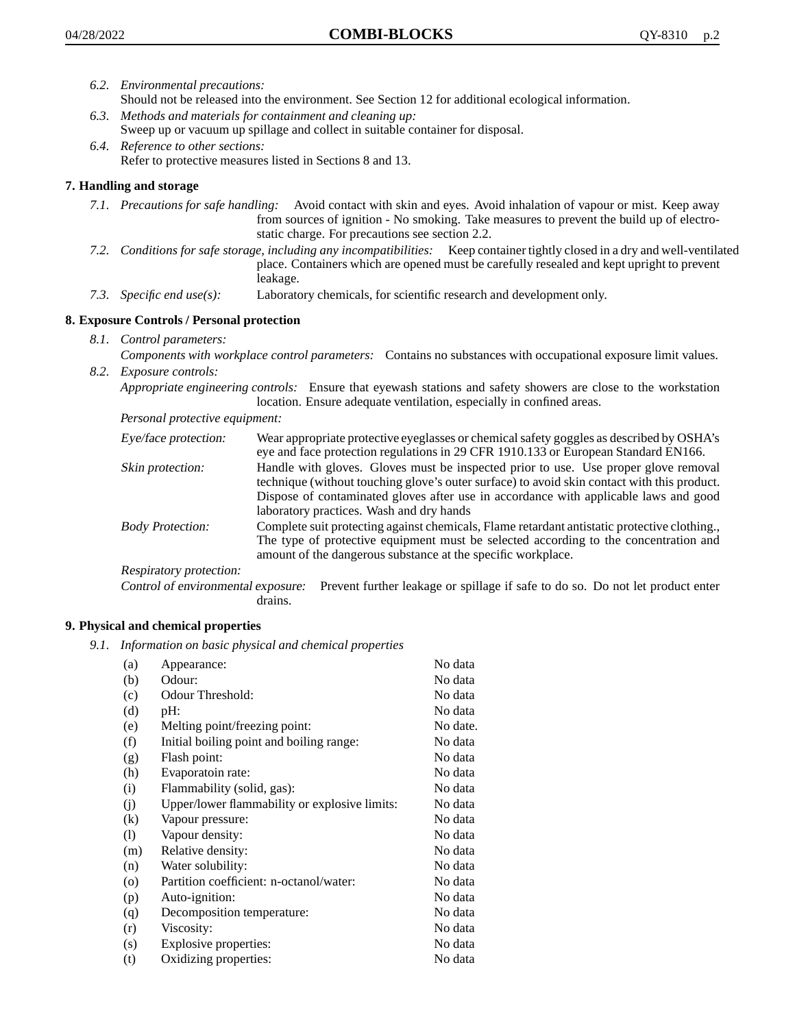- *6.2. Environmental precautions:* Should not be released into the environment. See Section 12 for additional ecological information.
- *6.3. Methods and materials for containment and cleaning up:* Sweep up or vacuum up spillage and collect in suitable container for disposal.
- *6.4. Reference to other sections:* Refer to protective measures listed in Sections 8 and 13.

# **7. Handling and storage**

- *7.1. Precautions for safe handling:* Avoid contact with skin and eyes. Avoid inhalation of vapour or mist. Keep away from sources of ignition - No smoking. Take measures to prevent the build up of electrostatic charge. For precautions see section 2.2.
- *7.2. Conditions for safe storage, including any incompatibilities:* Keep container tightly closed in a dry and well-ventilated place. Containers which are opened must be carefully resealed and kept upright to prevent leakage.
- *7.3. Specific end use(s):* Laboratory chemicals, for scientific research and development only.

# **8. Exposure Controls / Personal protection**

- *8.1. Control parameters:*
- *Components with workplace control parameters:* Contains no substances with occupational exposure limit values. *8.2. Exposure controls:*

*Appropriate engineering controls:* Ensure that eyewash stations and safety showers are close to the workstation location. Ensure adequate ventilation, especially in confined areas.

*Personal protective equipment:*

| Eye/face protection:    | Wear appropriate protective eyeglasses or chemical safety goggles as described by OSHA's<br>eye and face protection regulations in 29 CFR 1910.133 or European Standard EN166.                                                                                                                                         |
|-------------------------|------------------------------------------------------------------------------------------------------------------------------------------------------------------------------------------------------------------------------------------------------------------------------------------------------------------------|
| Skin protection:        | Handle with gloves. Gloves must be inspected prior to use. Use proper glove removal<br>technique (without touching glove's outer surface) to avoid skin contact with this product.<br>Dispose of contaminated gloves after use in accordance with applicable laws and good<br>laboratory practices. Wash and dry hands |
| <b>Body Protection:</b> | Complete suit protecting against chemicals, Flame retardant antistatic protective clothing.,<br>The type of protective equipment must be selected according to the concentration and<br>amount of the dangerous substance at the specific workplace.                                                                   |
| Respiratory protection: |                                                                                                                                                                                                                                                                                                                        |

Control of environmental exposure: Prevent further leakage or spillage if safe to do so. Do not let product enter drains.

## **9. Physical and chemical properties**

*9.1. Information on basic physical and chemical properties*

| (a)                        | Appearance:                                   | No data  |
|----------------------------|-----------------------------------------------|----------|
| (b)                        | Odour:                                        | No data  |
| (c)                        | Odour Threshold:                              | No data  |
| (d)                        | pH:                                           | No data  |
| (e)                        | Melting point/freezing point:                 | No date. |
| (f)                        | Initial boiling point and boiling range:      | No data  |
| (g)                        | Flash point:                                  | No data  |
| (h)                        | Evaporatoin rate:                             | No data  |
| (i)                        | Flammability (solid, gas):                    | No data  |
| (j)                        | Upper/lower flammability or explosive limits: | No data  |
| (k)                        | Vapour pressure:                              | No data  |
| $\left( \mathrm{l}\right)$ | Vapour density:                               | No data  |
| (m)                        | Relative density:                             | No data  |
| (n)                        | Water solubility:                             | No data  |
| $\circ$                    | Partition coefficient: n-octanol/water:       | No data  |
| (p)                        | Auto-ignition:                                | No data  |
| (q)                        | Decomposition temperature:                    | No data  |
| (r)                        | Viscosity:                                    | No data  |
| (s)                        | Explosive properties:                         | No data  |
| (t)                        | Oxidizing properties:                         | No data  |